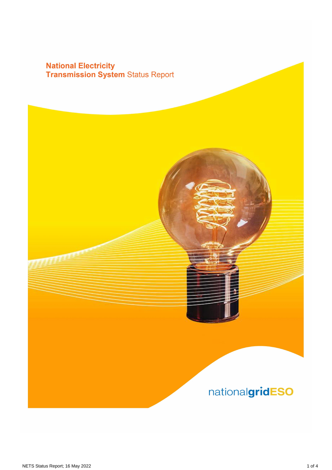# **National Electricity<br>Transmission System Status Report**

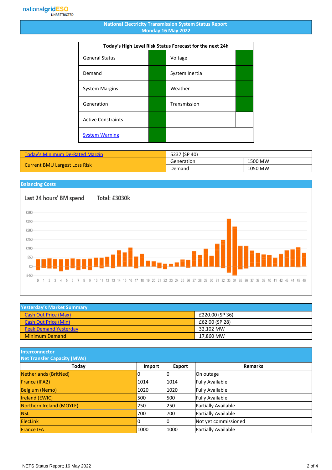#### **National Electricity Transmission System Status Report Monday 16 May 2022**

| Today's High Level Risk Status Forecast for the next 24h |  |                |  |
|----------------------------------------------------------|--|----------------|--|
| <b>General Status</b>                                    |  | Voltage        |  |
| Demand                                                   |  | System Inertia |  |
| <b>System Margins</b>                                    |  | Weather        |  |
| Generation                                               |  | Transmission   |  |
| <b>Active Constraints</b>                                |  |                |  |
| <b>System Warning</b>                                    |  |                |  |

| <b>Today's Minimum De-Rated Margin</b> | 5237 (SP 40) |         |
|----------------------------------------|--------------|---------|
| <b>Current BMU Largest Loss Risk</b>   | Generation   | 1500 MW |
|                                        | Demand       | 1050 MW |

### **Balancing Costs** Last 24 hours' BM spend Total: £3030k £300 £250 £200 £150 £100 £50 £0  $£-50$ 8 9 10 11 12 13 14 15 16 17 18 19 20 21 22 23 24 25 26 27 28 29 30 31 32 33 34 35 36 37 38 39 40 41 42 43 44 45 46  $0 \t1 \t2 \t3 \t4$  $\sqrt{5}$  $\,6\,$  $\overline{7}$

| <b>Yesterday's Market Summary</b> |                 |
|-----------------------------------|-----------------|
| <b>Cash Out Price (Max)</b>       | £220.00 (SP 36) |
| <b>Cash Out Price (Min)</b>       | £62.00 (SP 28)  |
| <b>Peak Demand Yesterday</b>      | 32.102 MW       |
| <b>Minimum Demand</b>             | 17.860 MW       |

**Interconnector**

| <b>Net Transfer Capacity (MWs)</b> |        |        |                        |
|------------------------------------|--------|--------|------------------------|
| Today                              | Import | Export | <b>Remarks</b>         |
| Netherlands (BritNed)              |        | IO     | On outage              |
| France (IFA2)                      | 1014   | 1014   | <b>Fully Available</b> |
| <b>Belgium (Nemo)</b>              | 1020   | 1020   | <b>Fully Available</b> |
| <b>Ireland (EWIC)</b>              | 500    | 1500   | <b>Fully Available</b> |
| Northern Ireland (MOYLE)           | 250    | 1250   | Partially Available    |
| <b>NSL</b>                         | 700    | 1700   | Partially Available    |
| <b>ElecLink</b>                    |        | 10     | Not yet commissioned   |
| <b>France IFA</b>                  | 1000   | 1000   | Partially Available    |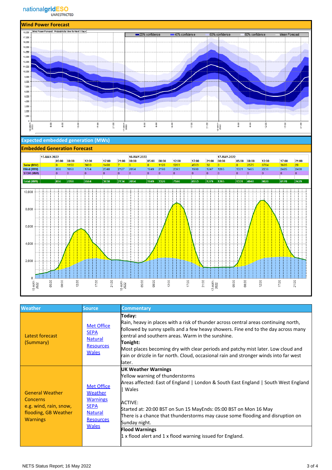

### **Expected embedded generation (MWs)**

#### **Embedded Generation Forecast**



| <b>Weather</b>                                                                                          | <b>Source</b>                                                                                                        | <b>Commentary</b>                                                                                                                                                                                                                                                                                                                                                                                                                               |
|---------------------------------------------------------------------------------------------------------|----------------------------------------------------------------------------------------------------------------------|-------------------------------------------------------------------------------------------------------------------------------------------------------------------------------------------------------------------------------------------------------------------------------------------------------------------------------------------------------------------------------------------------------------------------------------------------|
| Latest forecast<br>(Summary)                                                                            | <b>Met Office</b><br><b>SEPA</b><br><b>Natural</b><br><b>Resources</b><br><b>Wales</b>                               | Today:<br>Rain, heavy in places with a risk of thunder across central areas continuing north,<br>followed by sunny spells and a few heavy showers. Fine end to the day across many<br>central and southern areas. Warm in the sunshine.<br>Tonight:<br>Most places becoming dry with clear periods and patchy mist later. Low cloud and<br>rain or drizzle in far north. Cloud, occasional rain and stronger winds into far west<br>later.      |
| <b>General Weather</b><br>Concerns<br>e.g. wind, rain, snow,<br>flooding, GB Weather<br><b>Warnings</b> | <b>Met Office</b><br>Weather<br><b>Warnings</b><br><b>SEPA</b><br><b>Natural</b><br><b>Resources</b><br><b>Wales</b> | <b>UK Weather Warnings</b><br>Yellow warning of thunderstorms<br>Areas affected: East of England   London & South East England   South West England<br>Wales<br><b>ACTIVE:</b><br>Started at: 20:00 BST on Sun 15 MayEnds: 05:00 BST on Mon 16 May<br>There is a chance that thunderstorms may cause some flooding and disruption on<br>Sunday night.<br><b>Flood Warnings</b><br>$1$ x flood alert and $1$ x flood warning issued for England. |